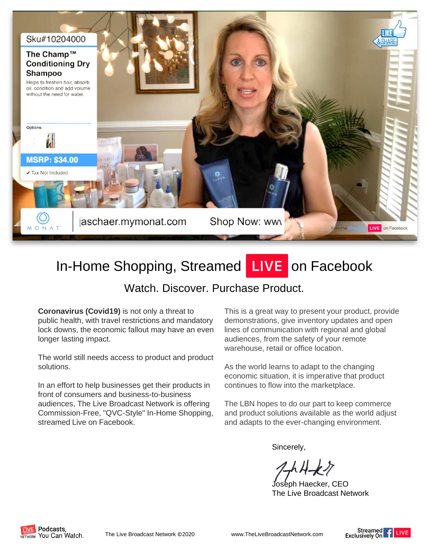

# In-Home Shopping, Streamed **LIVE** on Facebook

## Watch. Discover. Purchase Product.

**Coronavirus (Covid19)** is not only a threat to public health, with travel restrictions and mandatory lock downs, the economic fallout may have an even longer lasting impact.

The world still needs access to product and product solutions.

In an effort to help businesses get their products in front of consumers and business-to-business audiences, The Live Broadcast Network is offering Commission-Free, "QVC-Style" In-Home Shopping, streamed Live on Facebook.

This is a great way to present your product, provide demonstrations, give inventory updates and open lines of communication with regional and global audiences, from the safety of your remote warehouse, retail or office location.

As the world learns to adapt to the changing economic situation, it is imperative that product continues to flow into the marketplace.

The LBN hopes to do our part to keep commerce and product solutions available as the world adjust and adapts to the ever-changing environment.

Sincerely,

Joseph Haecker, CEO The Live Broadcast Network



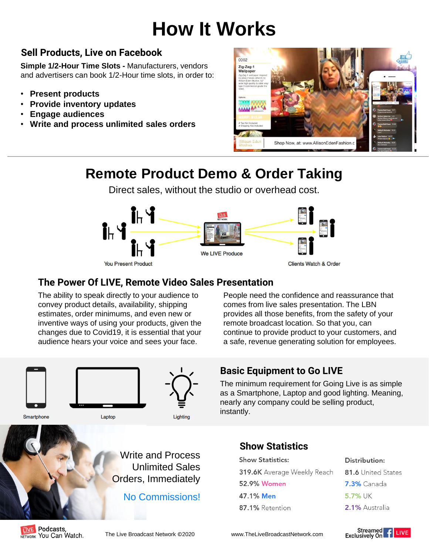# **How It Works**

## **Sell Products, Live on Facebook**

**Simple 1/2-Hour Time Slots -** Manufacturers, vendors and advertisers can book 1/2-Hour time slots, in order to:

- **Present products**
- **Provide inventory updates**
- **Engage audiences**
- **Write and process unlimited sales orders**



## **Remote Product Demo & Order Taking**

Direct sales, without the studio or overhead cost.



### **The Power Of LIVE, Remote Video Sales Presentation**

The ability to speak directly to your audience to convey product details, availability, shipping estimates, order minimums, and even new or inventive ways of using your products, given the changes due to Covid19, it is essential that your audience hears your voice and sees your face.

People need the confidence and reassurance that comes from live sales presentation. The LBN provides all those benefits, from the safety of your remote broadcast location. So that you, can continue to provide product to your customers, and a safe, revenue generating solution for employees.



## **Basic Equipment to Go LIVE**

The minimum requirement for Going Live is as simple as a Smartphone, Laptop and good lighting. Meaning, nearly any company could be selling product, instantly.

#### Smartphone





No Commissions!

### **Show Statistics**

- **Show Statistics:** 319.6K Average Weekly Reach 52.9% Women 47.1% Men 87.1% Retention
- 81.6 United States **7.3%** Canada 5.7% UK 2.1% Australia

Distribution: